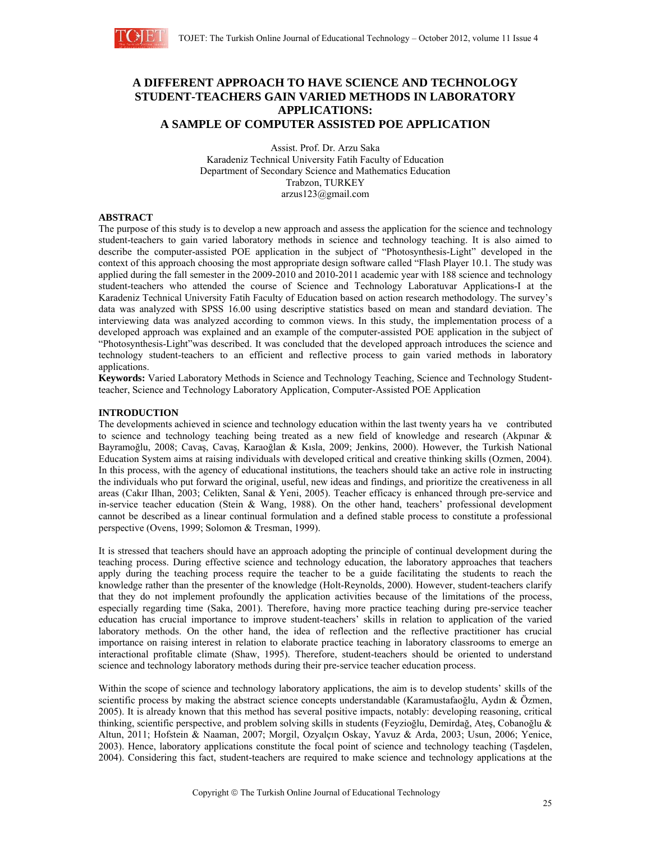

# **A DIFFERENT APPROACH TO HAVE SCIENCE AND TECHNOLOGY STUDENT-TEACHERS GAIN VARIED METHODS IN LABORATORY APPLICATIONS: A SAMPLE OF COMPUTER ASSISTED POE APPLICATION**

Assist. Prof. Dr. Arzu Saka Karadeniz Technical University Fatih Faculty of Education Department of Secondary Science and Mathematics Education Trabzon, TURKEY arzus123@gmail.com

## **ABSTRACT**

The purpose of this study is to develop a new approach and assess the application for the science and technology student-teachers to gain varied laboratory methods in science and technology teaching. It is also aimed to describe the computer-assisted POE application in the subject of "Photosynthesis-Light" developed in the context of this approach choosing the most appropriate design software called "Flash Player 10.1. The study was applied during the fall semester in the 2009-2010 and 2010-2011 academic year with 188 science and technology student-teachers who attended the course of Science and Technology Laboratuvar Applications-I at the Karadeniz Technical University Fatih Faculty of Education based on action research methodology. The survey's data was analyzed with SPSS 16.00 using descriptive statistics based on mean and standard deviation. The interviewing data was analyzed according to common views. In this study, the implementation process of a developed approach was explained and an example of the computer-assisted POE application in the subject of "Photosynthesis-Light"was described. It was concluded that the developed approach introduces the science and technology student-teachers to an efficient and reflective process to gain varied methods in laboratory applications.

**Keywords:** Varied Laboratory Methods in Science and Technology Teaching, Science and Technology Studentteacher, Science and Technology Laboratory Application, Computer-Assisted POE Application

## **INTRODUCTION**

The developments achieved in science and technology education within the last twenty years ha ve contributed to science and technology teaching being treated as a new field of knowledge and research (Akpınar & Bayramoğlu, 2008; Cavaş, Cavaş, Karaoğlan & Kısla, 2009; Jenkins, 2000). However, the Turkish National Education System aims at raising individuals with developed critical and creative thinking skills (Ozmen, 2004). In this process, with the agency of educational institutions, the teachers should take an active role in instructing the individuals who put forward the original, useful, new ideas and findings, and prioritize the creativeness in all areas (Cakır Ilhan, 2003; Celikten, Sanal & Yeni, 2005). Teacher efficacy is enhanced through pre-service and in-service teacher education (Stein & Wang, 1988). On the other hand, teachers' professional development cannot be described as a linear continual formulation and a defined stable process to constitute a professional perspective (Ovens, 1999; Solomon & Tresman, 1999).

It is stressed that teachers should have an approach adopting the principle of continual development during the teaching process. During effective science and technology education, the laboratory approaches that teachers apply during the teaching process require the teacher to be a guide facilitating the students to reach the knowledge rather than the presenter of the knowledge (Holt-Reynolds, 2000). However, student-teachers clarify that they do not implement profoundly the application activities because of the limitations of the process, especially regarding time (Saka, 2001). Therefore, having more practice teaching during pre-service teacher education has crucial importance to improve student-teachers' skills in relation to application of the varied laboratory methods. On the other hand, the idea of reflection and the reflective practitioner has crucial importance on raising interest in relation to elaborate practice teaching in laboratory classrooms to emerge an interactional profitable climate (Shaw, 1995). Therefore, student-teachers should be oriented to understand science and technology laboratory methods during their pre-service teacher education process.

Within the scope of science and technology laboratory applications, the aim is to develop students' skills of the scientific process by making the abstract science concepts understandable (Karamustafaoğlu, Aydın & Özmen, 2005). It is already known that this method has several positive impacts, notably: developing reasoning, critical thinking, scientific perspective, and problem solving skills in students (Feyzioğlu, Demirdağ, Ateş, Cobanoğlu & Altun, 2011; Hofstein & Naaman, 2007; Morgil, Ozyalçın Oskay, Yavuz & Arda, 2003; Usun, 2006; Yenice, 2003). Hence, laboratory applications constitute the focal point of science and technology teaching (Taşdelen, 2004). Considering this fact, student-teachers are required to make science and technology applications at the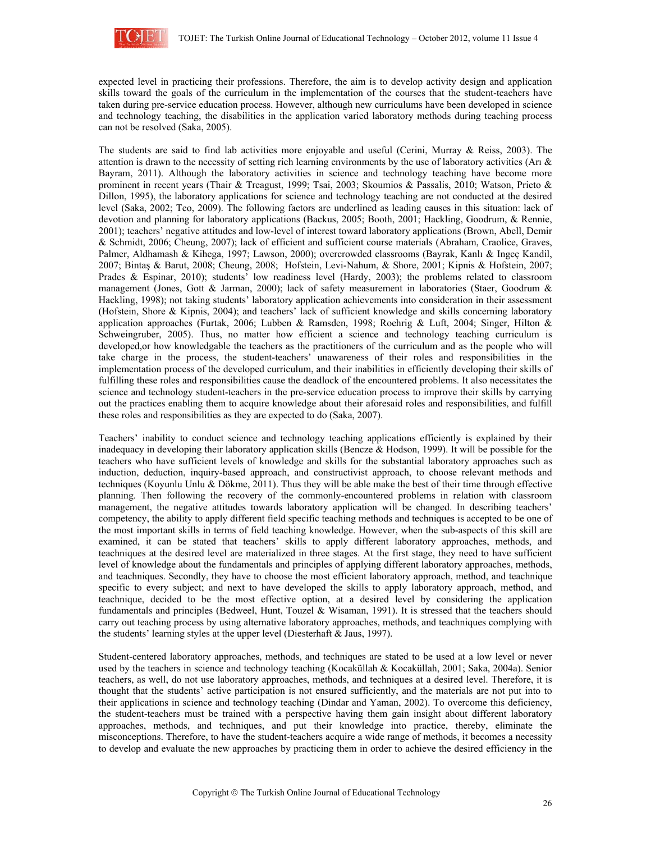

expected level in practicing their professions. Therefore, the aim is to develop activity design and application skills toward the goals of the curriculum in the implementation of the courses that the student-teachers have taken during pre-service education process. However, although new curriculums have been developed in science and technology teaching, the disabilities in the application varied laboratory methods during teaching process can not be resolved (Saka, 2005).

The students are said to find lab activities more enjoyable and useful (Cerini, Murray & Reiss, 2003). The attention is drawn to the necessity of setting rich learning environments by the use of laboratory activities (Arı & Bayram, 2011). Although the laboratory activities in science and technology teaching have become more prominent in recent years (Thair & Treagust, 1999; Tsai, 2003; Skoumios & Passalis, 2010; Watson, Prieto & Dillon, 1995), the laboratory applications for science and technology teaching are not conducted at the desired level (Saka, 2002; Teo, 2009). The following factors are underlined as leading causes in this situation: lack of devotion and planning for laboratory applications (Backus, 2005; Booth, 2001; Hackling, Goodrum, & Rennie, 2001); teachers' negative attitudes and low-level of interest toward laboratory applications (Brown, Abell, Demir & Schmidt, 2006; Cheung, 2007); lack of efficient and sufficient course materials (Abraham, Craolice, Graves, Palmer, Aldhamash & Kihega, 1997; Lawson, 2000); overcrowded classrooms (Bayrak, Kanlı & Ingeç Kandil, 2007; Bintaş & Barut, 2008; Cheung, 2008; Hofstein, Levi-Nahum, & Shore, 2001; Kipnis & Hofstein, 2007; Prades & Espinar, 2010); students' low readiness level (Hardy, 2003); the problems related to classroom management (Jones, Gott & Jarman, 2000); lack of safety measurement in laboratories (Staer, Goodrum & Hackling, 1998); not taking students' laboratory application achievements into consideration in their assessment (Hofstein, Shore & Kipnis, 2004); and teachers' lack of sufficient knowledge and skills concerning laboratory application approaches (Furtak, 2006; Lubben & Ramsden, 1998; Roehrig & Luft, 2004; Singer, Hilton & Schweingruber, 2005). Thus, no matter how efficient a science and technology teaching curriculum is developed,or how knowledgable the teachers as the practitioners of the curriculum and as the people who will take charge in the process, the student-teachers' unawareness of their roles and responsibilities in the implementation process of the developed curriculum, and their inabilities in efficiently developing their skills of fulfilling these roles and responsibilities cause the deadlock of the encountered problems. It also necessitates the science and technology student-teachers in the pre-service education process to improve their skills by carrying out the practices enabling them to acquire knowledge about their aforesaid roles and responsibilities, and fulfill these roles and responsibilities as they are expected to do (Saka, 2007).

Teachers' inability to conduct science and technology teaching applications efficiently is explained by their inadequacy in developing their laboratory application skills (Bencze & Hodson, 1999). It will be possible for the teachers who have sufficient levels of knowledge and skills for the substantial laboratory approaches such as induction, deduction, inquiry-based approach, and constructivist approach, to choose relevant methods and techniques (Koyunlu Unlu & Dökme, 2011). Thus they will be able make the best of their time through effective planning. Then following the recovery of the commonly-encountered problems in relation with classroom management, the negative attitudes towards laboratory application will be changed. In describing teachers' competency, the ability to apply different field specific teaching methods and techniques is accepted to be one of the most important skills in terms of field teaching knowledge. However, when the sub-aspects of this skill are examined, it can be stated that teachers' skills to apply different laboratory approaches, methods, and teachniques at the desired level are materialized in three stages. At the first stage, they need to have sufficient level of knowledge about the fundamentals and principles of applying different laboratory approaches, methods, and teachniques. Secondly, they have to choose the most efficient laboratory approach, method, and teachnique specific to every subject; and next to have developed the skills to apply laboratory approach, method, and teachnique, decided to be the most effective option, at a desired level by considering the application fundamentals and principles (Bedweel, Hunt, Touzel & Wisaman, 1991). It is stressed that the teachers should carry out teaching process by using alternative laboratory approaches, methods, and teachniques complying with the students' learning styles at the upper level (Diesterhaft & Jaus, 1997).

Student-centered laboratory approaches, methods, and techniques are stated to be used at a low level or never used by the teachers in science and technology teaching (Kocaküllah & Kocaküllah, 2001; Saka, 2004a). Senior teachers, as well, do not use laboratory approaches, methods, and techniques at a desired level. Therefore, it is thought that the students' active participation is not ensured sufficiently, and the materials are not put into to their applications in science and technology teaching (Dindar and Yaman, 2002). To overcome this deficiency, the student-teachers must be trained with a perspective having them gain insight about different laboratory approaches, methods, and techniques, and put their knowledge into practice, thereby, eliminate the misconceptions. Therefore, to have the student-teachers acquire a wide range of methods, it becomes a necessity to develop and evaluate the new approaches by practicing them in order to achieve the desired efficiency in the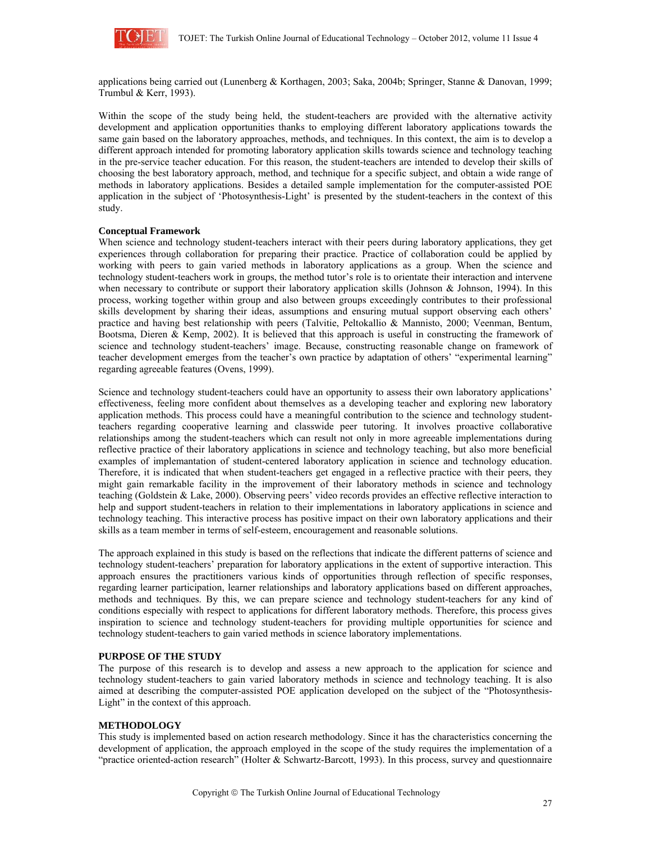

applications being carried out (Lunenberg & Korthagen, 2003; Saka, 2004b; Springer, Stanne & Danovan, 1999; Trumbul & Kerr, 1993).

Within the scope of the study being held, the student-teachers are provided with the alternative activity development and application opportunities thanks to employing different laboratory applications towards the same gain based on the laboratory approaches, methods, and techniques. In this context, the aim is to develop a different approach intended for promoting laboratory application skills towards science and technology teaching in the pre-service teacher education. For this reason, the student-teachers are intended to develop their skills of choosing the best laboratory approach, method, and technique for a specific subject, and obtain a wide range of methods in laboratory applications. Besides a detailed sample implementation for the computer-assisted POE application in the subject of 'Photosynthesis-Light' is presented by the student-teachers in the context of this study.

## **Conceptual Framework**

When science and technology student-teachers interact with their peers during laboratory applications, they get experiences through collaboration for preparing their practice. Practice of collaboration could be applied by working with peers to gain varied methods in laboratory applications as a group. When the science and technology student-teachers work in groups, the method tutor's role is to orientate their interaction and intervene when necessary to contribute or support their laboratory application skills (Johnson & Johnson, 1994). In this process, working together within group and also between groups exceedingly contributes to their professional skills development by sharing their ideas, assumptions and ensuring mutual support observing each others' practice and having best relationship with peers (Talvitie, Peltokallio & Mannisto, 2000; Veenman, Bentum, Bootsma, Dieren & Kemp, 2002). It is believed that this approach is useful in constructing the framework of science and technology student-teachers' image. Because, constructing reasonable change on framework of teacher development emerges from the teacher's own practice by adaptation of others' "experimental learning" regarding agreeable features (Ovens, 1999).

Science and technology student-teachers could have an opportunity to assess their own laboratory applications' effectiveness, feeling more confident about themselves as a developing teacher and exploring new laboratory application methods. This process could have a meaningful contribution to the science and technology studentteachers regarding cooperative learning and classwide peer tutoring. It involves proactive collaborative relationships among the student-teachers which can result not only in more agreeable implementations during reflective practice of their laboratory applications in science and technology teaching, but also more beneficial examples of implemantation of student-centered laboratory application in science and technology education. Therefore, it is indicated that when student-teachers get engaged in a reflective practice with their peers, they might gain remarkable facility in the improvement of their laboratory methods in science and technology teaching (Goldstein & Lake, 2000). Observing peers' video records provides an effective reflective interaction to help and support student-teachers in relation to their implementations in laboratory applications in science and technology teaching. This interactive process has positive impact on their own laboratory applications and their skills as a team member in terms of self-esteem, encouragement and reasonable solutions.

The approach explained in this study is based on the reflections that indicate the different patterns of science and technology student-teachers' preparation for laboratory applications in the extent of supportive interaction. This approach ensures the practitioners various kinds of opportunities through reflection of specific responses, regarding learner participation, learner relationships and laboratory applications based on different approaches, methods and techniques. By this, we can prepare science and technology student-teachers for any kind of conditions especially with respect to applications for different laboratory methods. Therefore, this process gives inspiration to science and technology student-teachers for providing multiple opportunities for science and technology student-teachers to gain varied methods in science laboratory implementations.

## **PURPOSE OF THE STUDY**

The purpose of this research is to develop and assess a new approach to the application for science and technology student-teachers to gain varied laboratory methods in science and technology teaching. It is also aimed at describing the computer-assisted POE application developed on the subject of the "Photosynthesis-Light" in the context of this approach.

## **METHODOLOGY**

This study is implemented based on action research methodology. Since it has the characteristics concerning the development of application, the approach employed in the scope of the study requires the implementation of a "practice oriented-action research" (Holter & Schwartz-Barcott, 1993). In this process, survey and questionnaire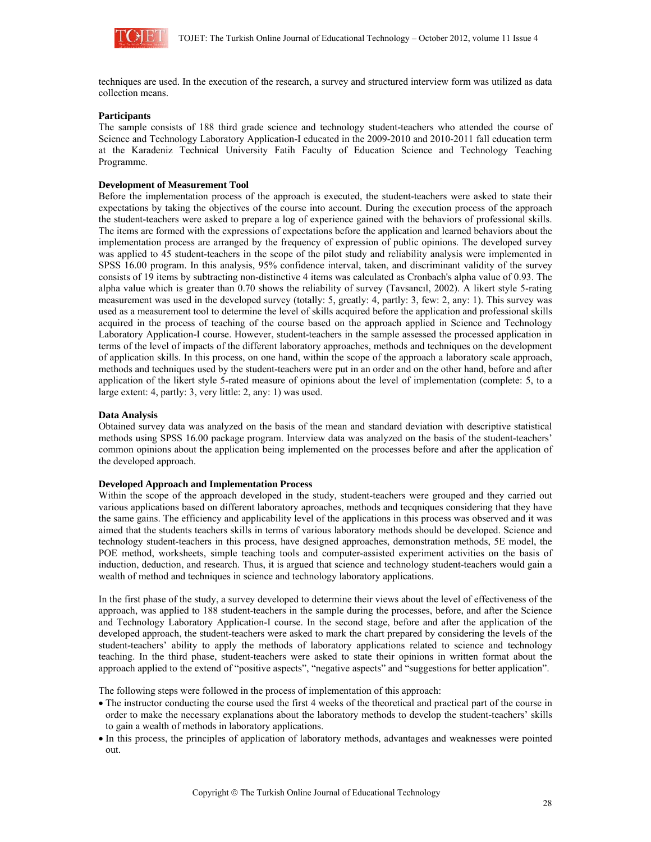

techniques are used. In the execution of the research, a survey and structured interview form was utilized as data collection means.

## **Participants**

The sample consists of 188 third grade science and technology student-teachers who attended the course of Science and Technology Laboratory Application-I educated in the 2009-2010 and 2010-2011 fall education term at the Karadeniz Technical University Fatih Faculty of Education Science and Technology Teaching Programme.

#### **Development of Measurement Tool**

Before the implementation process of the approach is executed, the student-teachers were asked to state their expectations by taking the objectives of the course into account. During the execution process of the approach the student-teachers were asked to prepare a log of experience gained with the behaviors of professional skills. The items are formed with the expressions of expectations before the application and learned behaviors about the implementation process are arranged by the frequency of expression of public opinions. The developed survey was applied to 45 student-teachers in the scope of the pilot study and reliability analysis were implemented in SPSS 16.00 program. In this analysis, 95% confidence interval, taken, and discriminant validity of the survey consists of 19 items by subtracting non-distinctive 4 items was calculated as Cronbach's alpha value of 0.93. The alpha value which is greater than 0.70 shows the reliability of survey (Tavsancıl, 2002). A likert style 5-rating measurement was used in the developed survey (totally: 5, greatly: 4, partly: 3, few: 2, any: 1). This survey was used as a measurement tool to determine the level of skills acquired before the application and professional skills acquired in the process of teaching of the course based on the approach applied in Science and Technology Laboratory Application-I course. However, student-teachers in the sample assessed the processed application in terms of the level of impacts of the different laboratory approaches, methods and techniques on the development of application skills. In this process, on one hand, within the scope of the approach a laboratory scale approach, methods and techniques used by the student-teachers were put in an order and on the other hand, before and after application of the likert style 5-rated measure of opinions about the level of implementation (complete: 5, to a large extent: 4, partly: 3, very little: 2, any: 1) was used.

#### **Data Analysis**

Obtained survey data was analyzed on the basis of the mean and standard deviation with descriptive statistical methods using SPSS 16.00 package program. Interview data was analyzed on the basis of the student-teachers' common opinions about the application being implemented on the processes before and after the application of the developed approach.

#### **Developed Approach and Implementation Process**

Within the scope of the approach developed in the study, student-teachers were grouped and they carried out various applications based on different laboratory aproaches, methods and tecqniques considering that they have the same gains. The efficiency and applicability level of the applications in this process was observed and it was aimed that the students teachers skills in terms of various laboratory methods should be developed. Science and technology student-teachers in this process, have designed approaches, demonstration methods, 5E model, the POE method, worksheets, simple teaching tools and computer-assisted experiment activities on the basis of induction, deduction, and research. Thus, it is argued that science and technology student-teachers would gain a wealth of method and techniques in science and technology laboratory applications.

In the first phase of the study, a survey developed to determine their views about the level of effectiveness of the approach, was applied to 188 student-teachers in the sample during the processes, before, and after the Science and Technology Laboratory Application-I course. In the second stage, before and after the application of the developed approach, the student-teachers were asked to mark the chart prepared by considering the levels of the student-teachers' ability to apply the methods of laboratory applications related to science and technology teaching. In the third phase, student-teachers were asked to state their opinions in written format about the approach applied to the extend of "positive aspects", "negative aspects" and "suggestions for better application".

The following steps were followed in the process of implementation of this approach:

- The instructor conducting the course used the first 4 weeks of the theoretical and practical part of the course in order to make the necessary explanations about the laboratory methods to develop the student-teachers' skills to gain a wealth of methods in laboratory applications.
- In this process, the principles of application of laboratory methods, advantages and weaknesses were pointed out.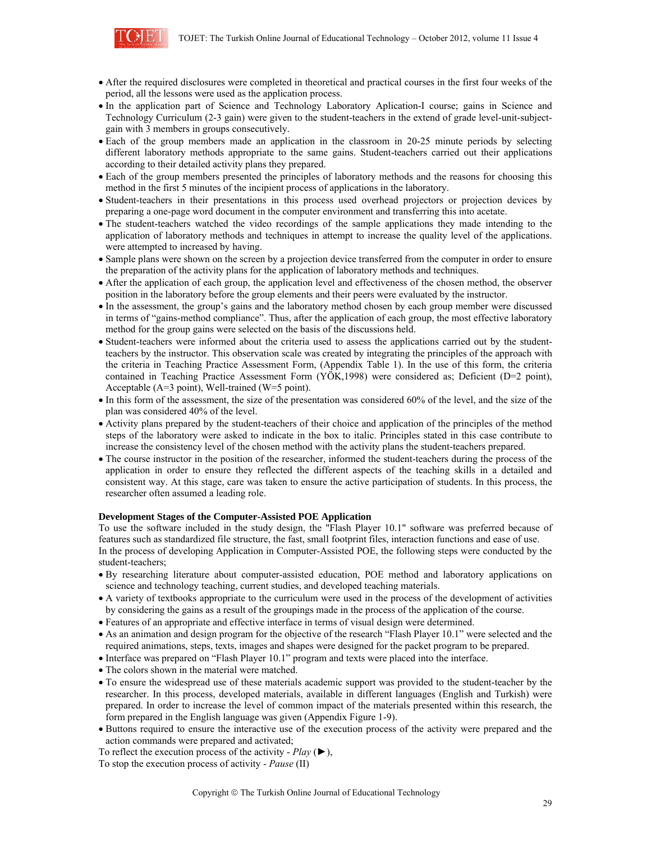

- After the required disclosures were completed in theoretical and practical courses in the first four weeks of the period, all the lessons were used as the application process.
- In the application part of Science and Technology Laboratory Aplication-I course; gains in Science and Technology Curriculum (2-3 gain) were given to the student-teachers in the extend of grade level-unit-subjectgain with 3 members in groups consecutively.
- Each of the group members made an application in the classroom in 20-25 minute periods by selecting different laboratory methods appropriate to the same gains. Student-teachers carried out their applications according to their detailed activity plans they prepared.
- Each of the group members presented the principles of laboratory methods and the reasons for choosing this method in the first 5 minutes of the incipient process of applications in the laboratory.
- Student-teachers in their presentations in this process used overhead projectors or projection devices by preparing a one-page word document in the computer environment and transferring this into acetate.
- The student-teachers watched the video recordings of the sample applications they made intending to the application of laboratory methods and techniques in attempt to increase the quality level of the applications. were attempted to increased by having.
- Sample plans were shown on the screen by a projection device transferred from the computer in order to ensure the preparation of the activity plans for the application of laboratory methods and techniques.
- After the application of each group, the application level and effectiveness of the chosen method, the observer position in the laboratory before the group elements and their peers were evaluated by the instructor.
- In the assessment, the group's gains and the laboratory method chosen by each group member were discussed in terms of "gains-method compliance". Thus, after the application of each group, the most effective laboratory method for the group gains were selected on the basis of the discussions held.
- Student-teachers were informed about the criteria used to assess the applications carried out by the studentteachers by the instructor. This observation scale was created by integrating the principles of the approach with the criteria in Teaching Practice Assessment Form, (Appendix Table 1). In the use of this form, the criteria contained in Teaching Practice Assessment Form (YÖK,1998) were considered as; Deficient (D=2 point), Acceptable (A=3 point), Well-trained (W=5 point).
- In this form of the assessment, the size of the presentation was considered 60% of the level, and the size of the plan was considered 40% of the level.
- Activity plans prepared by the student-teachers of their choice and application of the principles of the method steps of the laboratory were asked to indicate in the box to italic. Principles stated in this case contribute to increase the consistency level of the chosen method with the activity plans the student-teachers prepared.
- The course instructor in the position of the researcher, informed the student-teachers during the process of the application in order to ensure they reflected the different aspects of the teaching skills in a detailed and consistent way. At this stage, care was taken to ensure the active participation of students. In this process, the researcher often assumed a leading role.

#### **Development Stages of the Computer-Assisted POE Application**

To use the software included in the study design, the "Flash Player 10.1" software was preferred because of features such as standardized file structure, the fast, small footprint files, interaction functions and ease of use. In the process of developing Application in Computer-Assisted POE, the following steps were conducted by the student-teachers;

- By researching literature about computer-assisted education, POE method and laboratory applications on science and technology teaching, current studies, and developed teaching materials.
- A variety of textbooks appropriate to the curriculum were used in the process of the development of activities by considering the gains as a result of the groupings made in the process of the application of the course.
- Features of an appropriate and effective interface in terms of visual design were determined.
- As an animation and design program for the objective of the research "Flash Player 10.1" were selected and the required animations, steps, texts, images and shapes were designed for the packet program to be prepared.
- Interface was prepared on "Flash Player 10.1" program and texts were placed into the interface.
- The colors shown in the material were matched.
- To ensure the widespread use of these materials academic support was provided to the student-teacher by the researcher. In this process, developed materials, available in different languages (English and Turkish) were prepared. In order to increase the level of common impact of the materials presented within this research, the form prepared in the English language was given (Appendix Figure 1-9).
- Buttons required to ensure the interactive use of the execution process of the activity were prepared and the action commands were prepared and activated;

To reflect the execution process of the activity - *Play* (►), To stop the execution process of activity - *Pause* (II)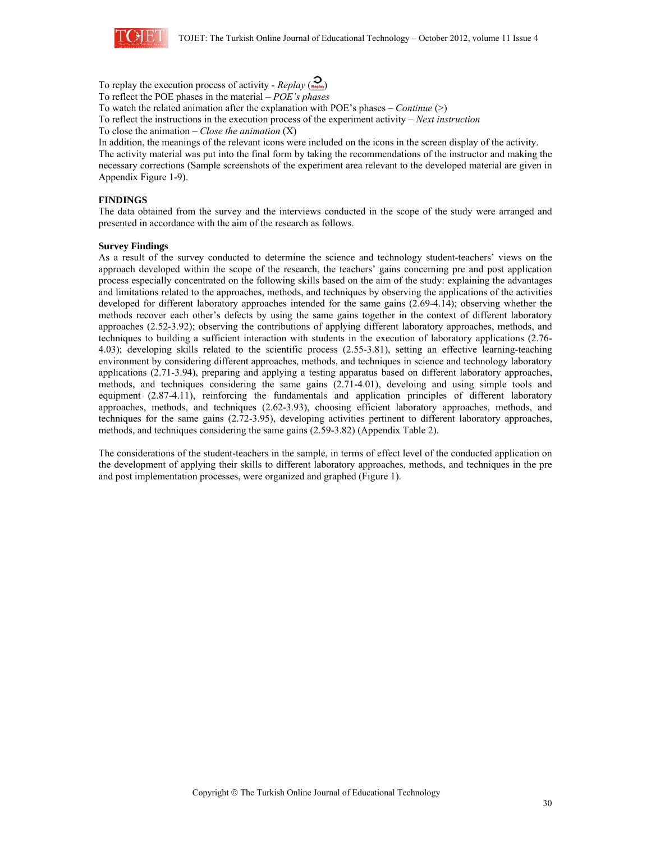

To replay the execution process of activity -  $Replay\left(\frac{Q}{\kappa_{\text{min}}}\right)$ To reflect the POE phases in the material – *POE's phases*

To watch the related animation after the explanation with POE's phases – *Continue* (>)

To reflect the instructions in the execution process of the experiment activity – *Next instruction* 

To close the animation – *Close the animation* (X)

In addition, the meanings of the relevant icons were included on the icons in the screen display of the activity.

The activity material was put into the final form by taking the recommendations of the instructor and making the necessary corrections (Sample screenshots of the experiment area relevant to the developed material are given in Appendix Figure 1-9).

## **FINDINGS**

The data obtained from the survey and the interviews conducted in the scope of the study were arranged and presented in accordance with the aim of the research as follows.

#### **Survey Findings**

As a result of the survey conducted to determine the science and technology student-teachers' views on the approach developed within the scope of the research, the teachers' gains concerning pre and post application process especially concentrated on the following skills based on the aim of the study: explaining the advantages and limitations related to the approaches, methods, and techniques by observing the applications of the activities developed for different laboratory approaches intended for the same gains (2.69-4.14); observing whether the methods recover each other's defects by using the same gains together in the context of different laboratory approaches (2.52-3.92); observing the contributions of applying different laboratory approaches, methods, and techniques to building a sufficient interaction with students in the execution of laboratory applications (2.76- 4.03); developing skills related to the scientific process (2.55-3.81), setting an effective learning-teaching environment by considering different approaches, methods, and techniques in science and technology laboratory applications (2.71-3.94), preparing and applying a testing apparatus based on different laboratory approaches, methods, and techniques considering the same gains (2.71-4.01), develoing and using simple tools and equipment (2.87-4.11), reinforcing the fundamentals and application principles of different laboratory approaches, methods, and techniques (2.62-3.93), choosing efficient laboratory approaches, methods, and techniques for the same gains (2.72-3.95), developing activities pertinent to different laboratory approaches, methods, and techniques considering the same gains (2.59-3.82) (Appendix Table 2).

The considerations of the student-teachers in the sample, in terms of effect level of the conducted application on the development of applying their skills to different laboratory approaches, methods, and techniques in the pre and post implementation processes, were organized and graphed (Figure 1).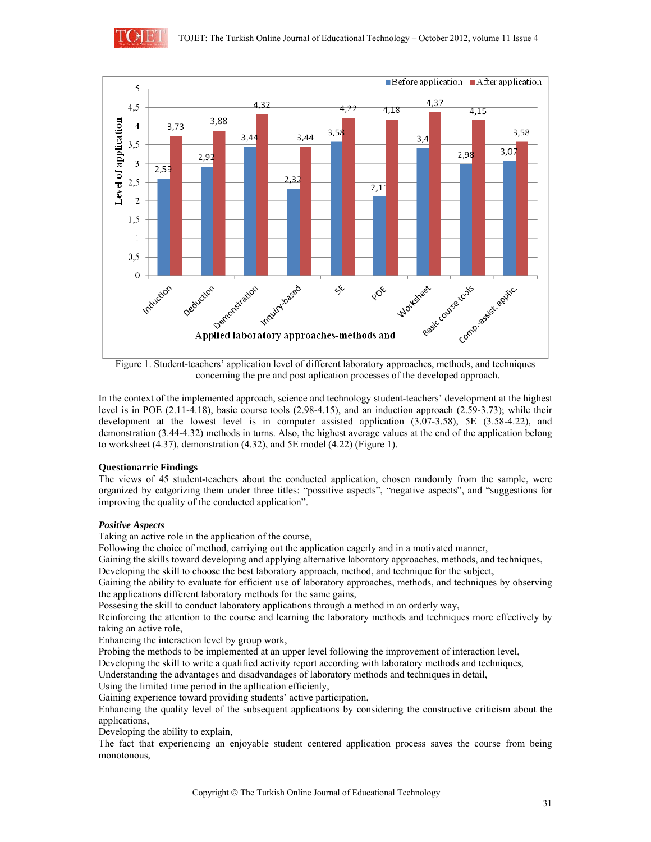



Figure 1. Student-teachers' application level of different laboratory approaches, methods, and techniques concerning the pre and post aplication processes of the developed approach.

In the context of the implemented approach, science and technology student-teachers' development at the highest level is in POE (2.11-4.18), basic course tools (2.98-4.15), and an induction approach (2.59-3.73); while their development at the lowest level is in computer assisted application (3.07-3.58), 5E (3.58-4.22), and demonstration (3.44-4.32) methods in turns. Also, the highest average values at the end of the application belong to worksheet (4.37), demonstration (4.32), and 5E model (4.22) (Figure 1).

## **Questionarrie Findings**

The views of 45 student-teachers about the conducted application, chosen randomly from the sample, were organized by catgorizing them under three titles: "possitive aspects", "negative aspects", and "suggestions for improving the quality of the conducted application".

## *Positive Aspects*

Taking an active role in the application of the course,

Following the choice of method, carriying out the application eagerly and in a motivated manner,

Gaining the skills toward developing and applying alternative laboratory approaches, methods, and techniques, Developing the skill to choose the best laboratory approach, method, and technique for the subject,

Gaining the ability to evaluate for efficient use of laboratory approaches, methods, and techniques by observing the applications different laboratory methods for the same gains,

Possesing the skill to conduct laboratory applications through a method in an orderly way,

Reinforcing the attention to the course and learning the laboratory methods and techniques more effectively by taking an active role,

Enhancing the interaction level by group work,

Probing the methods to be implemented at an upper level following the improvement of interaction level,

Developing the skill to write a qualified activity report according with laboratory methods and techniques,

Understanding the advantages and disadvandages of laboratory methods and techniques in detail,

Using the limited time period in the apllication efficienly,

Gaining experience toward providing students' active participation,

Enhancing the quality level of the subsequent applications by considering the constructive criticism about the applications,

Developing the ability to explain,

The fact that experiencing an enjoyable student centered application process saves the course from being monotonous,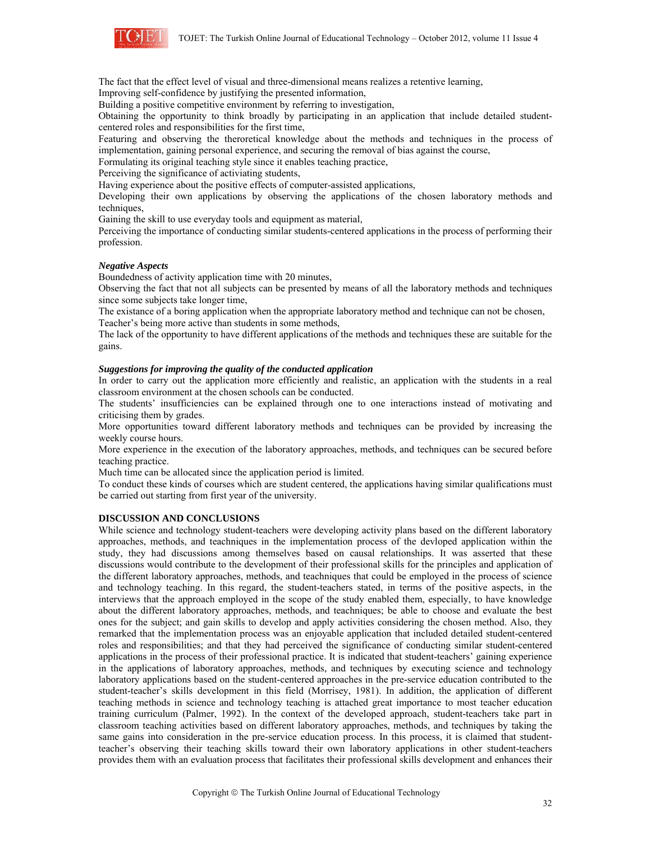

The fact that the effect level of visual and three-dimensional means realizes a retentive learning,

Improving self-confidence by justifying the presented information,

Building a positive competitive environment by referring to investigation,

Obtaining the opportunity to think broadly by participating in an application that include detailed studentcentered roles and responsibilities for the first time,

Featuring and observing the theroretical knowledge about the methods and techniques in the process of implementation, gaining personal experience, and securing the removal of bias against the course,

Formulating its original teaching style since it enables teaching practice,

Perceiving the significance of activiating students,

Having experience about the positive effects of computer-assisted applications,

Developing their own applications by observing the applications of the chosen laboratory methods and techniques.

Gaining the skill to use everyday tools and equipment as material,

Perceiving the importance of conducting similar students-centered applications in the process of performing their profession.

#### *Negative Aspects*

Boundedness of activity application time with 20 minutes,

Observing the fact that not all subjects can be presented by means of all the laboratory methods and techniques since some subjects take longer time,

The existance of a boring application when the appropriate laboratory method and technique can not be chosen, Teacher's being more active than students in some methods,

The lack of the opportunity to have different applications of the methods and techniques these are suitable for the gains.

#### *Suggestions for improving the quality of the conducted application*

In order to carry out the application more efficiently and realistic, an application with the students in a real classroom environment at the chosen schools can be conducted.

The students' insufficiencies can be explained through one to one interactions instead of motivating and criticising them by grades.

More opportunities toward different laboratory methods and techniques can be provided by increasing the weekly course hours.

More experience in the execution of the laboratory approaches, methods, and techniques can be secured before teaching practice.

Much time can be allocated since the application period is limited.

To conduct these kinds of courses which are student centered, the applications having similar qualifications must be carried out starting from first year of the university.

#### **DISCUSSION AND CONCLUSIONS**

While science and technology student-teachers were developing activity plans based on the different laboratory approaches, methods, and teachniques in the implementation process of the devloped application within the study, they had discussions among themselves based on causal relationships. It was asserted that these discussions would contribute to the development of their professional skills for the principles and application of the different laboratory approaches, methods, and teachniques that could be employed in the process of science and technology teaching. In this regard, the student-teachers stated, in terms of the positive aspects, in the interviews that the approach employed in the scope of the study enabled them, especially, to have knowledge about the different laboratory approaches, methods, and teachniques; be able to choose and evaluate the best ones for the subject; and gain skills to develop and apply activities considering the chosen method. Also, they remarked that the implementation process was an enjoyable application that included detailed student-centered roles and responsibilities; and that they had perceived the significance of conducting similar student-centered applications in the process of their professional practice. It is indicated that student-teachers' gaining experience in the applications of laboratory approaches, methods, and techniques by executing science and technology laboratory applications based on the student-centered approaches in the pre-service education contributed to the student-teacher's skills development in this field (Morrisey, 1981). In addition, the application of different teaching methods in science and technology teaching is attached great importance to most teacher education training curriculum (Palmer, 1992). In the context of the developed approach, student-teachers take part in classroom teaching activities based on different laboratory approaches, methods, and techniques by taking the same gains into consideration in the pre-service education process. In this process, it is claimed that studentteacher's observing their teaching skills toward their own laboratory applications in other student-teachers provides them with an evaluation process that facilitates their professional skills development and enhances their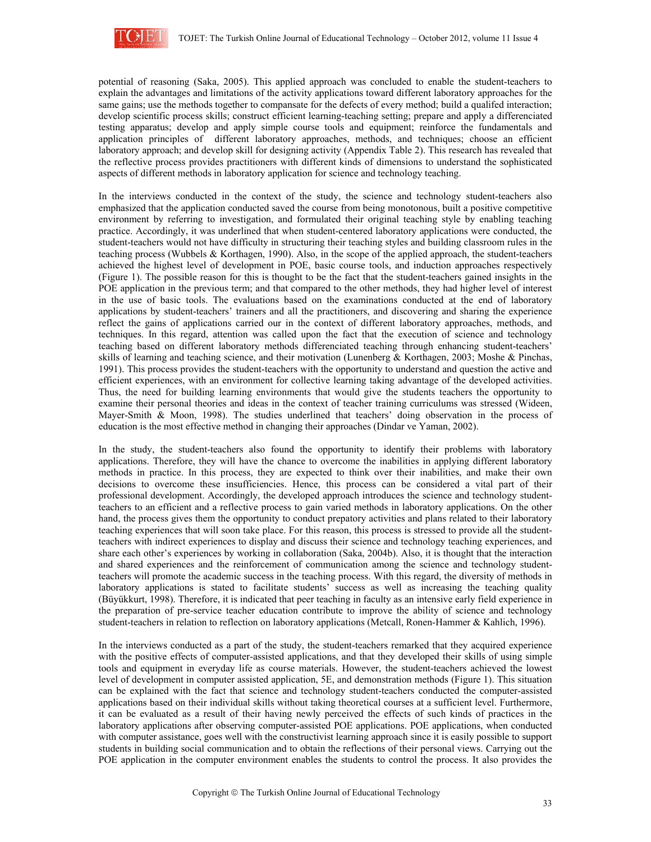

potential of reasoning (Saka, 2005). This applied approach was concluded to enable the student-teachers to explain the advantages and limitations of the activity applications toward different laboratory approaches for the same gains; use the methods together to compansate for the defects of every method; build a qualifed interaction; develop scientific process skills; construct efficient learning-teaching setting; prepare and apply a differenciated testing apparatus; develop and apply simple course tools and equipment; reinforce the fundamentals and application principles of different laboratory approaches, methods, and techniques; choose an efficient laboratory approach; and develop skill for designing activity (Appendix Table 2). This research has revealed that the reflective process provides practitioners with different kinds of dimensions to understand the sophisticated aspects of different methods in laboratory application for science and technology teaching.

In the interviews conducted in the context of the study, the science and technology student-teachers also emphasized that the application conducted saved the course from being monotonous, built a positive competitive environment by referring to investigation, and formulated their original teaching style by enabling teaching practice. Accordingly, it was underlined that when student-centered laboratory applications were conducted, the student-teachers would not have difficulty in structuring their teaching styles and building classroom rules in the teaching process (Wubbels & Korthagen, 1990). Also, in the scope of the applied approach, the student-teachers achieved the highest level of development in POE, basic course tools, and induction approaches respectively (Figure 1). The possible reason for this is thought to be the fact that the student-teachers gained insights in the POE application in the previous term; and that compared to the other methods, they had higher level of interest in the use of basic tools. The evaluations based on the examinations conducted at the end of laboratory applications by student-teachers' trainers and all the practitioners, and discovering and sharing the experience reflect the gains of applications carried our in the context of different laboratory approaches, methods, and techniques. In this regard, attention was called upon the fact that the execution of science and technology teaching based on different laboratory methods differenciated teaching through enhancing student-teachers' skills of learning and teaching science, and their motivation (Lunenberg & Korthagen, 2003; Moshe & Pinchas, 1991). This process provides the student-teachers with the opportunity to understand and question the active and efficient experiences, with an environment for collective learning taking advantage of the developed activities. Thus, the need for building learning environments that would give the students teachers the opportunity to examine their personal theories and ideas in the context of teacher training curriculums was stressed (Wideen, Mayer-Smith & Moon, 1998). The studies underlined that teachers' doing observation in the process of education is the most effective method in changing their approaches (Dindar ve Yaman, 2002).

In the study, the student-teachers also found the opportunity to identify their problems with laboratory applications. Therefore, they will have the chance to overcome the inabilities in applying different laboratory methods in practice. In this process, they are expected to think over their inabilities, and make their own decisions to overcome these insufficiencies. Hence, this process can be considered a vital part of their professional development. Accordingly, the developed approach introduces the science and technology studentteachers to an efficient and a reflective process to gain varied methods in laboratory applications. On the other hand, the process gives them the opportunity to conduct prepatory activities and plans related to their laboratory teaching experiences that will soon take place. For this reason, this process is stressed to provide all the studentteachers with indirect experiences to display and discuss their science and technology teaching experiences, and share each other's experiences by working in collaboration (Saka, 2004b). Also, it is thought that the interaction and shared experiences and the reinforcement of communication among the science and technology studentteachers will promote the academic success in the teaching process. With this regard, the diversity of methods in laboratory applications is stated to facilitate students' success as well as increasing the teaching quality (Büyükkurt, 1998). Therefore, it is indicated that peer teaching in faculty as an intensive early field experience in the preparation of pre-service teacher education contribute to improve the ability of science and technology student-teachers in relation to reflection on laboratory applications (Metcall, Ronen-Hammer & Kahlich, 1996).

In the interviews conducted as a part of the study, the student-teachers remarked that they acquired experience with the positive effects of computer-assisted applications, and that they developed their skills of using simple tools and equipment in everyday life as course materials. However, the student-teachers achieved the lowest level of development in computer assisted application, 5E, and demonstration methods (Figure 1). This situation can be explained with the fact that science and technology student-teachers conducted the computer-assisted applications based on their individual skills without taking theoretical courses at a sufficient level. Furthermore, it can be evaluated as a result of their having newly perceived the effects of such kinds of practices in the laboratory applications after observing computer-assisted POE applications. POE applications, when conducted with computer assistance, goes well with the constructivist learning approach since it is easily possible to support students in building social communication and to obtain the reflections of their personal views. Carrying out the POE application in the computer environment enables the students to control the process. It also provides the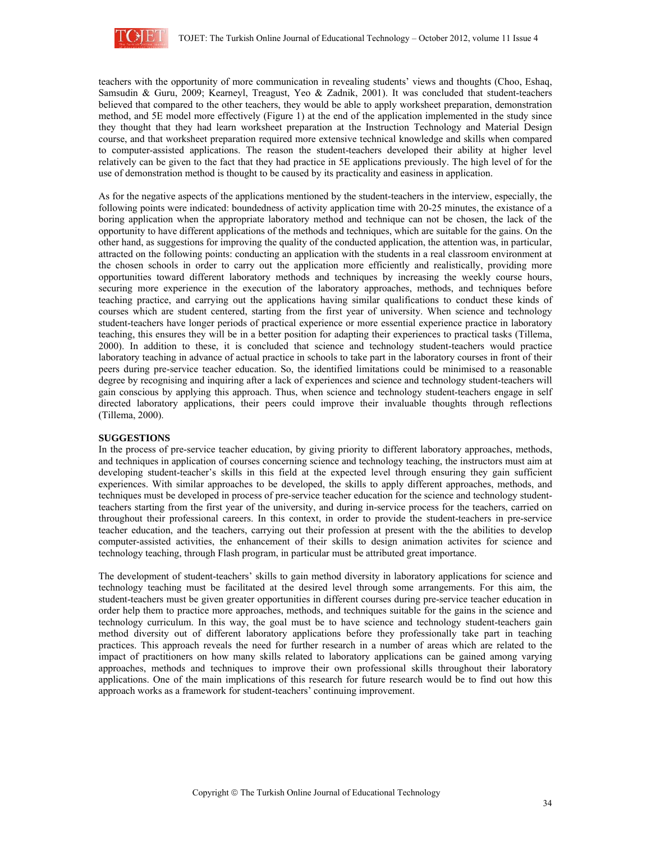

teachers with the opportunity of more communication in revealing students' views and thoughts (Choo, Eshaq, Samsudin & Guru, 2009; Kearneyl, Treagust, Yeo & Zadnik, 2001). It was concluded that student-teachers believed that compared to the other teachers, they would be able to apply worksheet preparation, demonstration method, and 5E model more effectively (Figure 1) at the end of the application implemented in the study since they thought that they had learn worksheet preparation at the Instruction Technology and Material Design course, and that worksheet preparation required more extensive technical knowledge and skills when compared to computer-assisted applications. The reason the student-teachers developed their ability at higher level relatively can be given to the fact that they had practice in 5E applications previously. The high level of for the use of demonstration method is thought to be caused by its practicality and easiness in application.

As for the negative aspects of the applications mentioned by the student-teachers in the interview, especially, the following points were indicated: boundedness of activity application time with 20-25 minutes, the existance of a boring application when the appropriate laboratory method and technique can not be chosen, the lack of the opportunity to have different applications of the methods and techniques, which are suitable for the gains. On the other hand, as suggestions for improving the quality of the conducted application, the attention was, in particular, attracted on the following points: conducting an application with the students in a real classroom environment at the chosen schools in order to carry out the application more efficiently and realistically, providing more opportunities toward different laboratory methods and techniques by increasing the weekly course hours, securing more experience in the execution of the laboratory approaches, methods, and techniques before teaching practice, and carrying out the applications having similar qualifications to conduct these kinds of courses which are student centered, starting from the first year of university. When science and technology student-teachers have longer periods of practical experience or more essential experience practice in laboratory teaching, this ensures they will be in a better position for adapting their experiences to practical tasks (Tillema, 2000). In addition to these, it is concluded that science and technology student-teachers would practice laboratory teaching in advance of actual practice in schools to take part in the laboratory courses in front of their peers during pre-service teacher education. So, the identified limitations could be minimised to a reasonable degree by recognising and inquiring after a lack of experiences and science and technology student-teachers will gain conscious by applying this approach. Thus, when science and technology student-teachers engage in self directed laboratory applications, their peers could improve their invaluable thoughts through reflections (Tillema, 2000).

## **SUGGESTIONS**

In the process of pre-service teacher education, by giving priority to different laboratory approaches, methods, and techniques in application of courses concerning science and technology teaching, the instructors must aim at developing student-teacher's skills in this field at the expected level through ensuring they gain sufficient experiences. With similar approaches to be developed, the skills to apply different approaches, methods, and techniques must be developed in process of pre-service teacher education for the science and technology studentteachers starting from the first year of the university, and during in-service process for the teachers, carried on throughout their professional careers. In this context, in order to provide the student-teachers in pre-service teacher education, and the teachers, carrying out their profession at present with the the abilities to develop computer-assisted activities, the enhancement of their skills to design animation activites for science and technology teaching, through Flash program, in particular must be attributed great importance.

The development of student-teachers' skills to gain method diversity in laboratory applications for science and technology teaching must be facilitated at the desired level through some arrangements. For this aim, the student-teachers must be given greater opportunities in different courses during pre-service teacher education in order help them to practice more approaches, methods, and techniques suitable for the gains in the science and technology curriculum. In this way, the goal must be to have science and technology student-teachers gain method diversity out of different laboratory applications before they professionally take part in teaching practices. This approach reveals the need for further research in a number of areas which are related to the impact of practitioners on how many skills related to laboratory applications can be gained among varying approaches, methods and techniques to improve their own professional skills throughout their laboratory applications. One of the main implications of this research for future research would be to find out how this approach works as a framework for student-teachers' continuing improvement.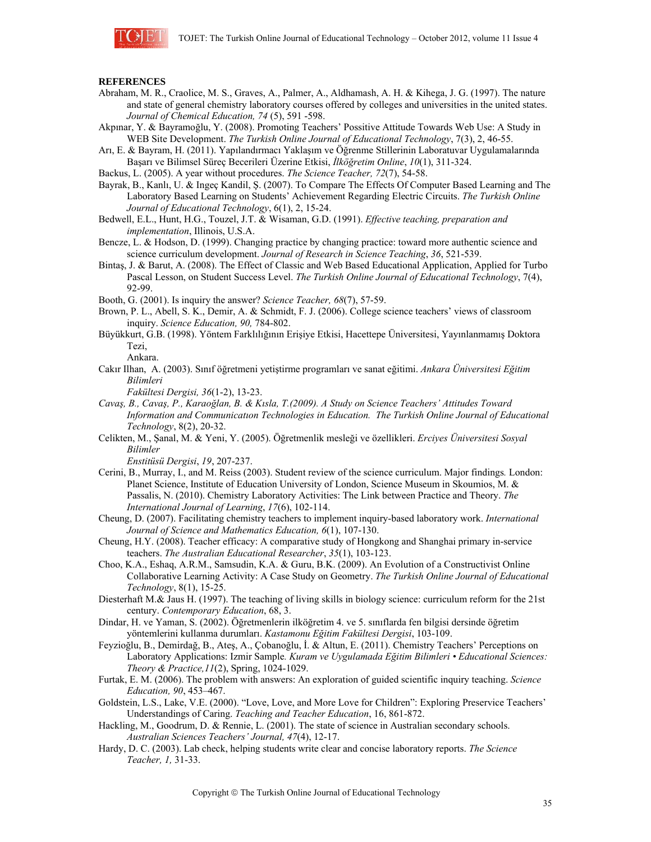

#### **REFERENCES**

- Abraham, M. R., Craolice, M. S., Graves, A., Palmer, A., Aldhamash, A. H. & Kihega, J. G. (1997). The nature and state of general chemistry laboratory courses offered by colleges and universities in the united states. *Journal of Chemical Education, 74* (5), 591 -598.
- Akpınar, Y. & Bayramoğlu, Y. (2008). Promoting Teachers' Possitive Attitude Towards Web Use: A Study in WEB Site Development. *The Turkish Online Journal of Educational Technology*, 7(3), 2, 46-55.
- Arı, E. & Bayram, H. (2011). Yapılandırmacı Yaklaşım ve Öğrenme Stillerinin Laboratuvar Uygulamalarında Başarı ve Bilimsel Süreç Becerileri Üzerine Etkisi, *İlköğretim Online*, *10*(1), 311-324.
- Backus, L. (2005). A year without procedures. *The Science Teacher, 72*(7), 54-58.
- Bayrak, B., Kanlı, U. & Ingeç Kandil, Ş. (2007). To Compare The Effects Of Computer Based Learning and The Laboratory Based Learning on Students' Achievement Regarding Electric Circuits. *The Turkish Online Journal of Educational Technology*, 6(1), 2, 15-24.
- Bedwell, E.L., Hunt, H.G., Touzel, J.T. & Wisaman, G.D. (1991). *Effective teaching, preparation and implementation*, Illinois, U.S.A.
- Bencze, L. & Hodson, D. (1999). Changing practice by changing practice: toward more authentic science and science curriculum development. *Journal of Research in Science Teaching*, *36*, 521-539.
- Bintaş, J. & Barut, A. (2008). The Effect of Classic and Web Based Educational Application, Applied for Turbo Pascal Lesson, on Student Success Level. *The Turkish Online Journal of Educational Technology*, 7(4), 92-99.
- Booth, G. (2001). Is inquiry the answer? *Science Teacher, 68*(7), 57-59.
- Brown, P. L., Abell, S. K., Demir, A. & Schmidt, F. J. (2006). College science teachers' views of classroom inquiry. *Science Education, 90,* 784-802.
- Büyükkurt, G.B. (1998). Yöntem Farklılığının Erişiye Etkisi, Hacettepe Üniversitesi, Yayınlanmamış Doktora Tezi,

Ankara.

- Cakır Ilhan, A. (2003). Sınıf öğretmeni yetiştirme programları ve sanat eğitimi. *Ankara Üniversitesi Eğitim Bilimleri* 
	- *Fakültesi Dergisi, 36*(1-2), 13-23.
- *Cavaş, B., Cavaş, P., Karaoğlan, B. & Kısla, T.(2009). A Study on Science Teachers' Attitudes Toward Information and Communicatıon Technologies in Education. The Turkish Online Journal of Educational Technology*, 8(2), 20-32.
- Celikten, M., Şanal, M. & Yeni, Y. (2005). Öğretmenlik mesleği ve özellikleri. *Erciyes Üniversitesi Sosyal Bilimler*

*Enstitüsü Dergisi*, *19*, 207-237.

- Cerini, B., Murray, I., and M. Reiss (2003). Student review of the science curriculum. Major findings*.* London: Planet Science, Institute of Education University of London, Science Museum in Skoumios, M. & Passalis, N. (2010). Chemistry Laboratory Activities: The Link between Practice and Theory. *The International Journal of Learning*, *17*(6), 102-114.
- Cheung, D. (2007). Facilitating chemistry teachers to implement inquiry-based laboratory work. *International Journal of Science and Mathematics Education, 6*(1), 107-130.
- Cheung, H.Y. (2008). Teacher efficacy: A comparative study of Hongkong and Shanghai primary in-service teachers. *The Australian Educational Researcher*, *35*(1), 103-123.
- Choo, K.A., Eshaq, A.R.M., Samsudin, K.A. & Guru, B.K. (2009). An Evolution of a Constructivist Online Collaborative Learning Activity: A Case Study on Geometry. *The Turkish Online Journal of Educational Technology*, 8(1), 15-25.
- Diesterhaft M.& Jaus H. (1997). The teaching of living skills in biology science: curriculum reform for the 21st century. *Contemporary Education*, 68, 3.
- Dindar, H. ve Yaman, S. (2002). Öğretmenlerin ilköğretim 4. ve 5. sınıflarda fen bilgisi dersinde öğretim yöntemlerini kullanma durumları. *Kastamonu Eğitim Fakültesi Dergisi*, 103-109.
- Feyzioğlu, B., Demirdağ, B., Ateş, A., Çobanoğlu, İ. & Altun, E. (2011). Chemistry Teachers' Perceptions on Laboratory Applications: Izmir Sample*. Kuram ve Uygulamada Eğitim Bilimleri • Educational Sciences: Theory & Practice,11*(2), Spring, 1024-1029.
- Furtak, E. M. (2006). The problem with answers: An exploration of guided scientific inquiry teaching. *Science Education, 90*, 453–467.
- Goldstein, L.S., Lake, V.E. (2000). "Love, Love, and More Love for Children": Exploring Preservice Teachers' Understandings of Caring. *Teaching and Teacher Education*, 16, 861-872.
- Hackling, M., Goodrum, D. & Rennie, L. (2001). The state of science in Australian secondary schools. *Australian Sciences Teachers' Journal, 47*(4), 12-17.
- Hardy, D. C. (2003). Lab check, helping students write clear and concise laboratory reports. *The Science Teacher, 1,* 31-33.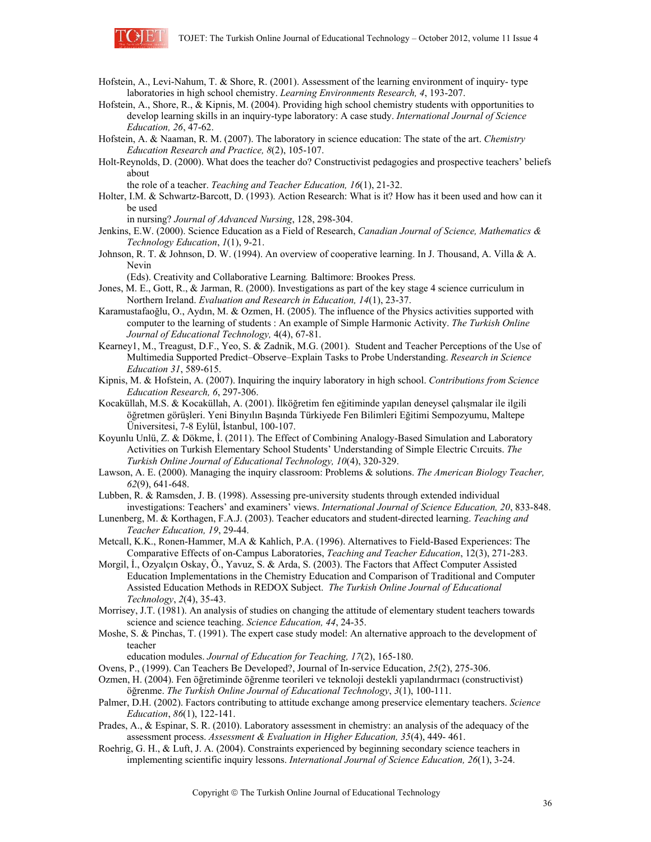

- Hofstein, A., Levi-Nahum, T. & Shore, R. (2001). Assessment of the learning environment of inquiry- type laboratories in high school chemistry. *Learning Environments Research, 4*, 193-207.
- Hofstein, A., Shore, R., & Kipnis, M. (2004). Providing high school chemistry students with opportunities to develop learning skills in an inquiry-type laboratory: A case study. *International Journal of Science Education, 26*, 47-62.
- Hofstein, A. & Naaman, R. M. (2007). The laboratory in science education: The state of the art. *Chemistry Education Research and Practice, 8*(2), 105-107.
- Holt-Reynolds, D. (2000). What does the teacher do? Constructivist pedagogies and prospective teachers' beliefs about

the role of a teacher. *Teaching and Teacher Education, 16*(1), 21-32.

Holter, I.M. & Schwartz-Barcott, D. (1993). Action Research: What is it? How has it been used and how can it be used

in nursing? *Journal of Advanced Nursing*, 128, 298-304.

- Jenkins, E.W. (2000). Science Education as a Field of Research, *Canadian Journal of Science, Mathematics & Technology Education*, *1*(1), 9-21.
- Johnson, R. T. & Johnson, D. W. (1994). An overview of cooperative learning. In J. Thousand, A. Villa & A. Nevin

(Eds). Creativity and Collaborative Learning*.* Baltimore: Brookes Press.

- Jones, M. E., Gott, R., & Jarman, R. (2000). Investigations as part of the key stage 4 science curriculum in Northern Ireland. *Evaluation and Research in Education, 14*(1), 23-37.
- Karamustafaoğlu, O., Aydın, M. & Ozmen, H. (2005). The influence of the Physics activities supported with computer to the learning of students : An example of Simple Harmonic Activity. *The Turkish Online Journal of Educational Technology,* 4(4), 67-81.
- Kearney1, M., Treagust, D.F., Yeo, S. & Zadnik, M.G. (2001). Student and Teacher Perceptions of the Use of Multimedia Supported Predict–Observe–Explain Tasks to Probe Understanding. *Research in Science Education 31*, 589-615.
- Kipnis, M. & Hofstein, A. (2007). Inquiring the inquiry laboratory in high school. *Contributions from Science Education Research, 6*, 297-306.
- Kocaküllah, M.S. & Kocaküllah, A. (2001). İlköğretim fen eğitiminde yapılan deneysel çalışmalar ile ilgili öğretmen görüşleri. Yeni Binyılın Başında Türkiyede Fen Bilimleri Eğitimi Sempozyumu, Maltepe Üniversitesi, 7-8 Eylül, İstanbul, 100-107.
- Koyunlu Unlü, Z. & Dökme, İ. (2011). The Effect of Combining Analogy-Based Simulation and Laboratory Activities on Turkish Elementary School Students' Understanding of Simple Electric Cırcuits. *The Turkish Online Journal of Educational Technology, 10*(4), 320-329.
- Lawson, A. E. (2000). Managing the inquiry classroom: Problems & solutions. *The American Biology Teacher, 62*(9), 641-648.
- Lubben, R. & Ramsden, J. B. (1998). Assessing pre-university students through extended individual investigations: Teachers' and examiners' views. *International Journal of Science Education, 20*, 833-848.
- Lunenberg, M. & Korthagen, F.A.J. (2003). Teacher educators and student-directed learning. *Teaching and Teacher Education, 19*, 29-44.
- Metcall, K.K., Ronen-Hammer, M.A & Kahlich, P.A. (1996). Alternatives to Field-Based Experiences: The Comparative Effects of on-Campus Laboratories, *Teaching and Teacher Education*, 12(3), 271-283.
- Morgil, İ., Ozyalçın Oskay, Ö., Yavuz, S. & Arda, S. (2003). The Factors that Affect Computer Assisted Education Implementations in the Chemistry Education and Comparison of Traditional and Computer Assisted Education Methods in REDOX Subject. *The Turkish Online Journal of Educational Technology*, *2*(4), 35-43.
- Morrisey, J.T. (1981). An analysis of studies on changing the attitude of elementary student teachers towards science and science teaching. *Science Education, 44*, 24-35.
- Moshe, S. & Pinchas, T. (1991). The expert case study model: An alternative approach to the development of teacher

education modules. *Journal of Education for Teaching, 17*(2), 165-180.

Ovens, P., (1999). Can Teachers Be Developed?, Journal of In-service Education, *25*(2), 275-306.

Ozmen, H. (2004). Fen öğretiminde öğrenme teorileri ve teknoloji destekli yapılandırmacı (constructivist) öğrenme. *The Turkish Online Journal of Educational Technology*, *3*(1), 100-111.

- Palmer, D.H. (2002). Factors contributing to attitude exchange among preservice elementary teachers. *Science Education*, *86*(1), 122-141.
- Prades, A., & Espinar, S. R. (2010). Laboratory assessment in chemistry: an analysis of the adequacy of the assessment process. *Assessment & Evaluation in Higher Education, 35*(4), 449- 461.
- Roehrig, G. H., & Luft, J. A. (2004). Constraints experienced by beginning secondary science teachers in implementing scientific inquiry lessons. *International Journal of Science Education, 26*(1), 3-24.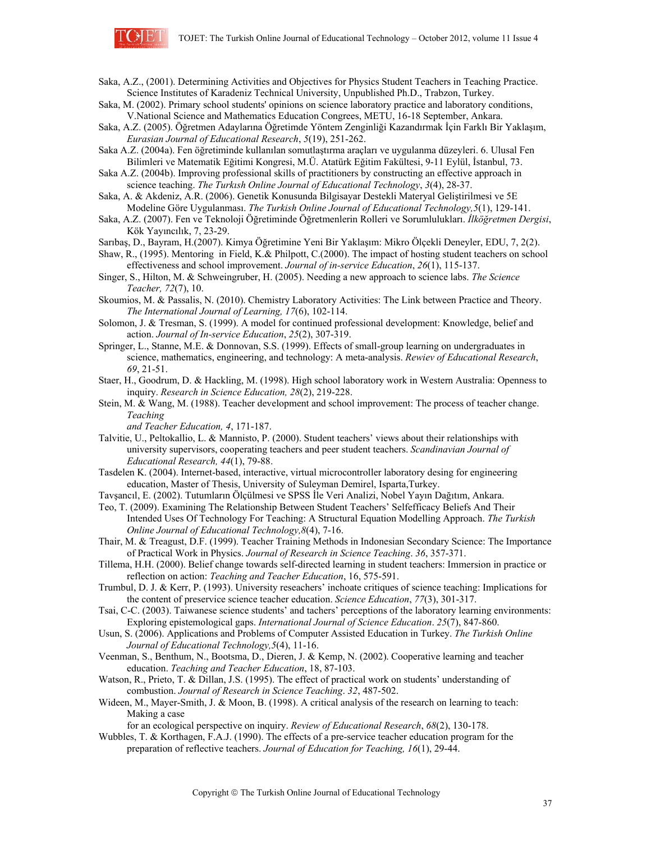

Saka, A.Z., (2001). Determining Activities and Objectives for Physics Student Teachers in Teaching Practice. Science Institutes of Karadeniz Technical University, Unpublished Ph.D., Trabzon, Turkey.

Saka, M. (2002). Primary school students' opinions on science laboratory practice and laboratory conditions, V.National Science and Mathematics Education Congrees, METU, 16-18 September, Ankara.

Saka, A.Z. (2005). Öğretmen Adaylarına Öğretimde Yöntem Zenginliği Kazandırmak İçin Farklı Bir Yaklaşım, *Eurasian Journal of Educational Research*, *5*(19), 251-262.

Saka A.Z. (2004a). Fen öğretiminde kullanılan somutlaştırma araçları ve uygulanma düzeyleri. 6. Ulusal Fen Bilimleri ve Matematik Eğitimi Kongresi, M.Ü. Atatürk Eğitim Fakültesi, 9-11 Eylül, İstanbul, 73.

Saka A.Z. (2004b). Improving professional skills of practitioners by constructing an effective approach in science teaching. *The Turkısh Online Journal of Educational Technology*, *3*(4), 28-37.

Saka, A. & Akdeniz, A.R. (2006). Genetik Konusunda Bilgisayar Destekli Materyal Geliştirilmesi ve 5E Modeline Göre Uygulanması. *The Turkish Online Journal of Educational Technology,5*(1), 129-141.

- Saka, A.Z. (2007). Fen ve Teknoloji Öğretiminde Öğretmenlerin Rolleri ve Sorumlulukları. *İlköğretmen Dergisi*, Kök Yayıncılık, 7, 23-29.
- Sarıbaş, D., Bayram, H.(2007). Kimya Öğretimine Yeni Bir Yaklaşım: Mikro Ölçekli Deneyler, EDU, 7, 2(2).

Shaw, R., (1995). Mentoring in Field, K.& Philpott, C.(2000). The impact of hosting student teachers on school effectiveness and school improvement. *Journal of in-service Education*, *26*(1), 115-137.

Singer, S., Hilton, M. & Schweingruber, H. (2005). Needing a new approach to science labs. *The Science Teacher, 72*(7), 10.

Skoumios, M. & Passalis, N. (2010). Chemistry Laboratory Activities: The Link between Practice and Theory. *The International Journal of Learning, 17*(6), 102-114.

- Solomon, J. & Tresman, S. (1999). A model for continued professional development: Knowledge, belief and action. *Journal of In-service Education*, *25*(2), 307-319.
- Springer, L., Stanne, M.E. & Donnovan, S.S. (1999). Effects of small-group learning on undergraduates in science, mathematics, engineering, and technology: A meta-analysis. *Rewiev of Educational Research*, *69*, 21-51.

Staer, H., Goodrum, D. & Hackling, M. (1998). High school laboratory work in Western Australia: Openness to inquiry. *Research in Science Education, 28*(2), 219-228.

Stein, M. & Wang, M. (1988). Teacher development and school improvement: The process of teacher change. *Teaching* 

*and Teacher Education, 4*, 171-187.

Talvitie, U., Peltokallio, L. & Mannisto, P. (2000). Student teachers' views about their relationships with university supervisors, cooperating teachers and peer student teachers. *Scandinavian Journal of Educational Research, 44*(1), 79-88.

Tasdelen K. (2004). Internet-based, interactive, virtual microcontroller laboratory desing for engineering education, Master of Thesis, University of Suleyman Demirel, Isparta,Turkey.

Tavşancıl, E. (2002). Tutumların Ölçülmesi ve SPSS İle Veri Analizi, Nobel Yayın Dağıtım, Ankara.

Teo, T. (2009). Examining The Relationship Between Student Teachers' Selfefficacy Beliefs And Their Intended Uses Of Technology For Teaching: A Structural Equation Modelling Approach. *The Turkish Online Journal of Educational Technology,8*(4), 7-16.

Thair, M. & Treagust, D.F. (1999). Teacher Training Methods in Indonesian Secondary Science: The Importance of Practical Work in Physics. *Journal of Research in Science Teaching*. *36*, 357-371.

Tillema, H.H. (2000). Belief change towards self-directed learning in student teachers: Immersion in practice or reflection on action: *Teaching and Teacher Education*, 16, 575-591.

- Trumbul, D. J. & Kerr, P. (1993). University reseachers' inchoate critiques of science teaching: Implications for the content of preservice science teacher education. *Science Education*, *77*(3), 301-317.
- Tsai, C-C. (2003). Taiwanese science students' and tachers' perceptions of the laboratory learning environments: Exploring epistemological gaps. *International Journal of Science Education*. *25*(7), 847-860.
- Usun, S. (2006). Applications and Problems of Computer Assisted Education in Turkey. *The Turkish Online Journal of Educational Technology,5*(4), 11-16.
- Veenman, S., Benthum, N., Bootsma, D., Dieren, J. & Kemp, N. (2002). Cooperative learning and teacher education. *Teaching and Teacher Education*, 18, 87-103.
- Watson, R., Prieto, T. & Dillan, J.S. (1995). The effect of practical work on students' understanding of combustion. *Journal of Research in Science Teaching*. *32*, 487-502.
- Wideen, M., Mayer-Smith, J. & Moon, B. (1998). A critical analysis of the research on learning to teach: Making a case

for an ecological perspective on inquiry. *Review of Educational Research*, *68*(2), 130-178.

Wubbles, T. & Korthagen, F.A.J. (1990). The effects of a pre-service teacher education program for the preparation of reflective teachers. *Journal of Education for Teaching, 16*(1), 29-44.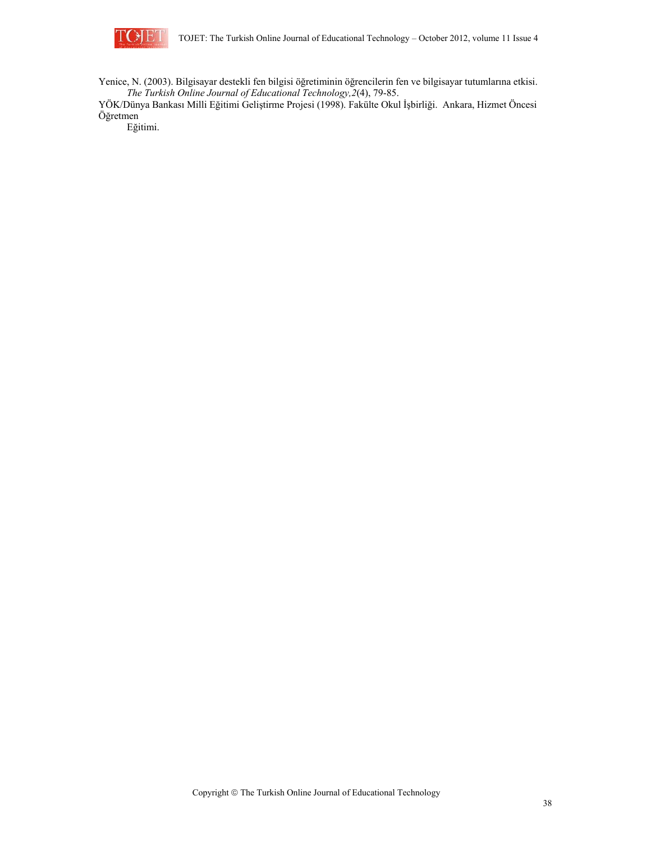

Yenice, N. (2003). Bilgisayar destekli fen bilgisi öğretiminin öğrencilerin fen ve bilgisayar tutumlarına etkisi. *The Turkish Online Journal of Educational Technology,2*(4), 79-85.

YÖK/Dünya Bankası Milli Eğitimi Geliştirme Projesi (1998). Fakülte Okul İşbirliği. Ankara, Hizmet Öncesi Öğretmen

Eğitimi.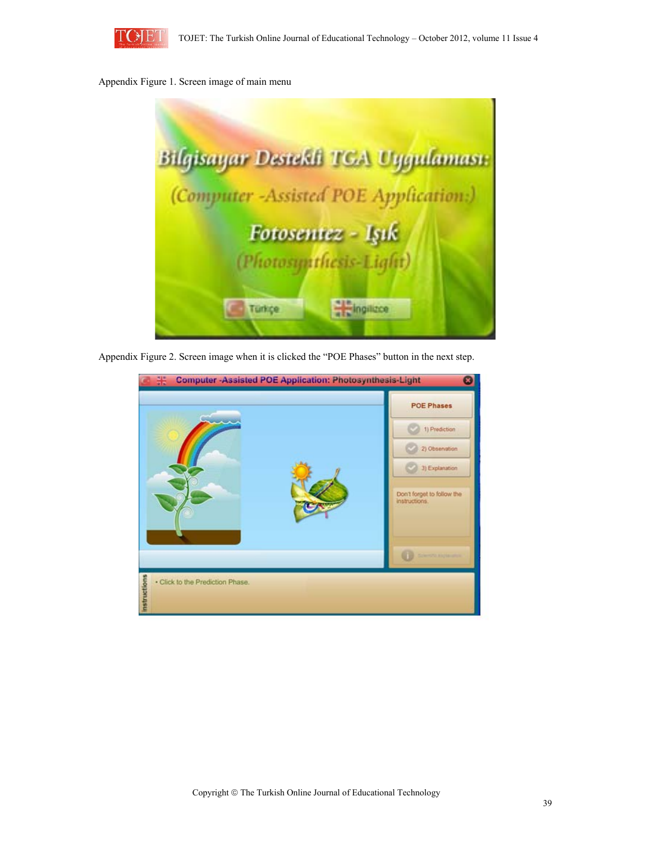

### Appendix Figure 1. Screen image of main menu



Appendix Figure 2. Screen image when it is clicked the "POE Phases" button in the next step.

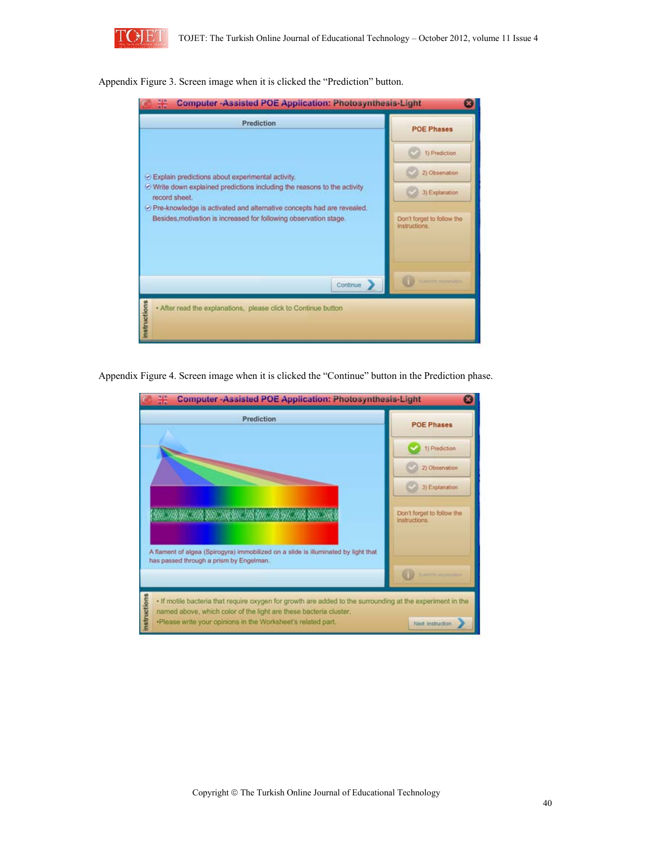

Appendix Figure 3. Screen image when it is clicked the "Prediction" button.

| 噐<br><b>Computer-Assisted POE Application: Photosynthesis-Light</b>                                                                           |                                             |  |  |  |  |
|-----------------------------------------------------------------------------------------------------------------------------------------------|---------------------------------------------|--|--|--|--|
| Prediction                                                                                                                                    | <b>POE Phases</b>                           |  |  |  |  |
|                                                                                                                                               | 1) Prediction<br>2) Observation             |  |  |  |  |
| Explain predictions about experimental activity.<br>O Write down explained predictions including the reasons to the activity<br>record sheet. | 3) Explanation                              |  |  |  |  |
| O Pre-knowledge is activated and alternative concepts had are revealed.<br>Besides, motivation is increased for following observation stage.  | Don't forget to follow the<br>instructions. |  |  |  |  |
| Continue                                                                                                                                      | and the graphs                              |  |  |  |  |
| <b>Instructions</b><br>. After read the explanations, please click to Continue button                                                         |                                             |  |  |  |  |

Appendix Figure 4. Screen image when it is clicked the "Continue" button in the Prediction phase.

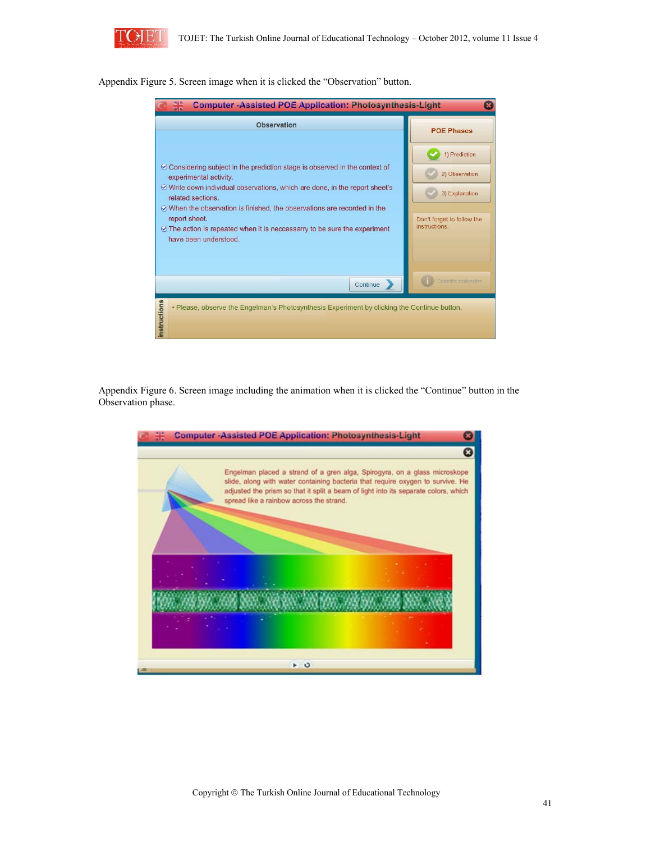

Appendix Figure 5. Screen image when it is clicked the "Observation" button.



Appendix Figure 6. Screen image including the animation when it is clicked the "Continue" button in the Observation phase.

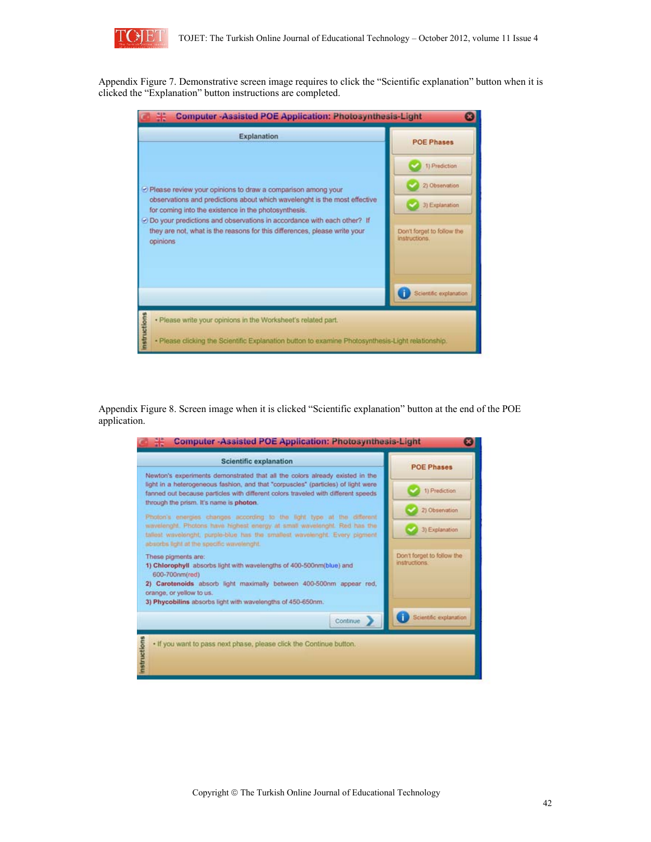

Appendix Figure 7. Demonstrative screen image requires to click the "Scientific explanation" button when it is clicked the "Explanation" button instructions are completed.

| 噐<br><b>Computer-Assisted POE Application: Photosynthesis-Light</b>                                                                                                                                                 |                                             |  |  |  |
|---------------------------------------------------------------------------------------------------------------------------------------------------------------------------------------------------------------------|---------------------------------------------|--|--|--|
| Explanation                                                                                                                                                                                                         | <b>POE Phases</b>                           |  |  |  |
|                                                                                                                                                                                                                     | 1) Prediction                               |  |  |  |
| Please review your opinions to draw a comparison among your                                                                                                                                                         | 2) Observation                              |  |  |  |
| observations and predictions about which wavelenght is the most effective<br>for coming into the existence in the photosynthesis.<br>$\odot$ Do your predictions and observations in accordance with each other? If | 3) Explanation                              |  |  |  |
| they are not, what is the reasons for this differences, please write your<br>opinions                                                                                                                               | Don't forget to follow the<br>instructions. |  |  |  |
|                                                                                                                                                                                                                     | Scientific explanation                      |  |  |  |
| . Please write your opinions in the Worksheet's related part.                                                                                                                                                       |                                             |  |  |  |
| <b>Instructions</b><br>· Please clicking the Scientific Explanation button to examine Photosynthesis-Light relationship.                                                                                            |                                             |  |  |  |

Appendix Figure 8. Screen image when it is clicked "Scientific explanation" button at the end of the POE application.

| <b>Scientific explanation</b>                                                                                                                                                                                                                                                                     | <b>POE Phases</b>                           |  |
|---------------------------------------------------------------------------------------------------------------------------------------------------------------------------------------------------------------------------------------------------------------------------------------------------|---------------------------------------------|--|
| Newton's experiments demonstrated that all the colors already existed in the<br>light in a heterogeneous fashion, and that "corpuscies" (particles) of light were<br>fanned out because particles with different colors traveled with different speeds<br>through the prism. It's name is photon. | 1) Prediction                               |  |
| Photon's energies changes according to the light type at the different<br>wavelenght. Photons have highest energy at small wavelenght. Red has the<br>tailest wavelenght, purple-biue has the smallest wavelenght. Every pigment<br>absorbs light at the specific wavelenght.                     | 2) Observation<br>3) Explanation            |  |
| These pigments are:<br>1) Chlorophyll absorbs light with wavelengths of 400-500nm(blue) and<br>600-700nm(red)<br>2) Carotenoids absorb light maximally between 400-500nm appear red,<br>orange, or yellow to us.<br>3) Phycobilins absorbs light with wavelengths of 450-650nm.                   | Don't forget to follow the<br>instructions. |  |
| Continue                                                                                                                                                                                                                                                                                          | Scientific explanation                      |  |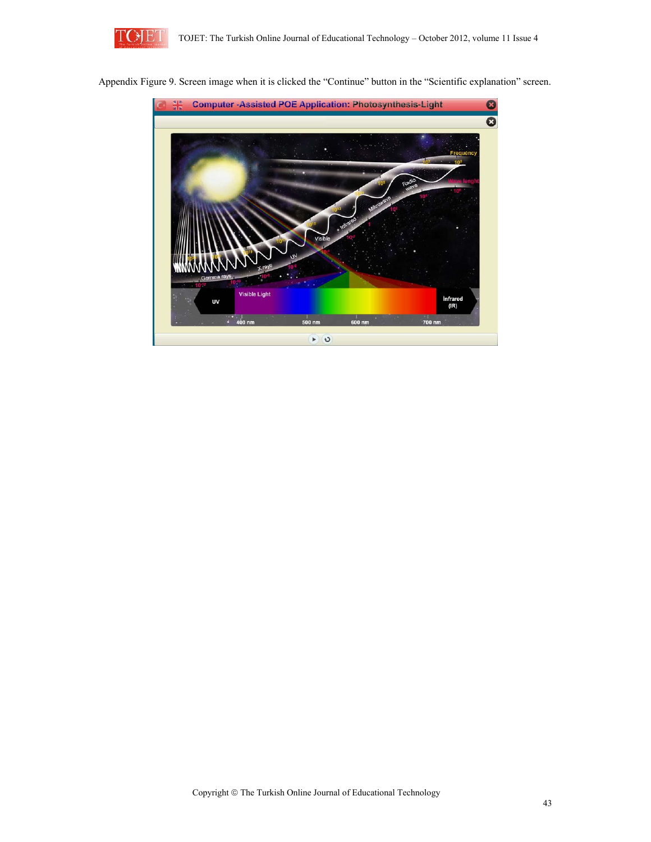

Appendix Figure 9. Screen image when it is clicked the "Continue" button in the "Scientific explanation" screen.

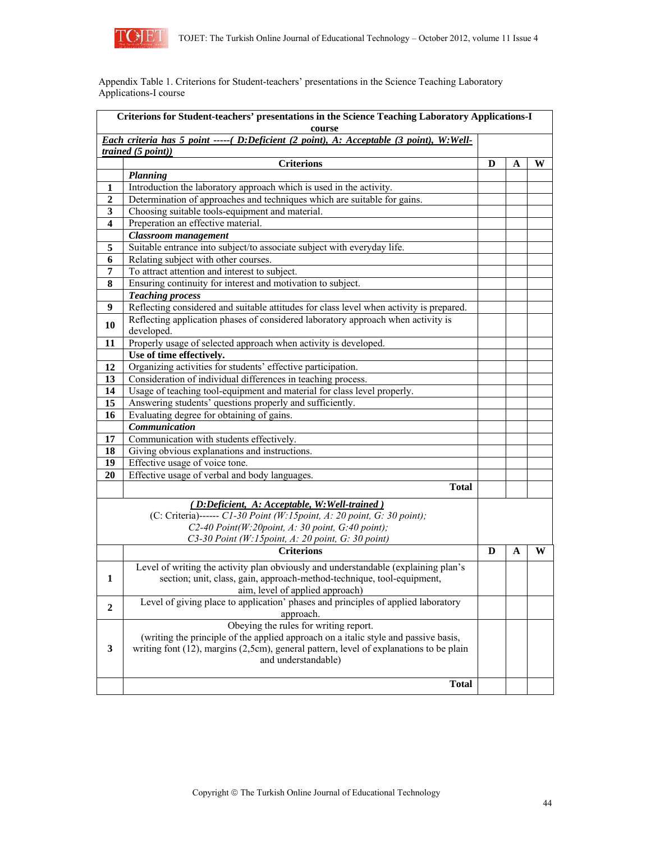![](_page_19_Picture_0.jpeg)

Appendix Table 1. Criterions for Student-teachers' presentations in the Science Teaching Laboratory Applications-I course

| Criterions for Student-teachers' presentations in the Science Teaching Laboratory Applications-I<br>course |                                                                                          |   |   |   |
|------------------------------------------------------------------------------------------------------------|------------------------------------------------------------------------------------------|---|---|---|
|                                                                                                            | Each criteria has 5 point ----- (D:Deficient (2 point), A: Acceptable (3 point), W:Well- |   |   |   |
|                                                                                                            | $\overline{trained(5\ point)})$                                                          |   |   |   |
|                                                                                                            | <b>Criterions</b>                                                                        | D | A | W |
|                                                                                                            | <b>Planning</b>                                                                          |   |   |   |
| 1                                                                                                          | Introduction the laboratory approach which is used in the activity.                      |   |   |   |
| $\boldsymbol{2}$                                                                                           | Determination of approaches and techniques which are suitable for gains.                 |   |   |   |
| 3                                                                                                          | Choosing suitable tools-equipment and material.                                          |   |   |   |
| 4                                                                                                          | Preperation an effective material.                                                       |   |   |   |
|                                                                                                            | <b>Classroom</b> management                                                              |   |   |   |
| 5                                                                                                          | Suitable entrance into subject/to associate subject with everyday life.                  |   |   |   |
| 6                                                                                                          | Relating subject with other courses.                                                     |   |   |   |
| 7                                                                                                          | To attract attention and interest to subject.                                            |   |   |   |
| 8                                                                                                          | Ensuring continuity for interest and motivation to subject.                              |   |   |   |
|                                                                                                            | <b>Teaching process</b>                                                                  |   |   |   |
| 9                                                                                                          | Reflecting considered and suitable attitudes for class level when activity is prepared.  |   |   |   |
| 10                                                                                                         | Reflecting application phases of considered laboratory approach when activity is         |   |   |   |
|                                                                                                            | developed.                                                                               |   |   |   |
| 11                                                                                                         | Properly usage of selected approach when activity is developed.                          |   |   |   |
|                                                                                                            | Use of time effectively.                                                                 |   |   |   |
| 12                                                                                                         | Organizing activities for students' effective participation.                             |   |   |   |
| 13                                                                                                         | Consideration of individual differences in teaching process.                             |   |   |   |
| 14                                                                                                         | Usage of teaching tool-equipment and material for class level properly.                  |   |   |   |
| 15                                                                                                         | Answering students' questions properly and sufficiently.                                 |   |   |   |
| 16                                                                                                         | Evaluating degree for obtaining of gains.                                                |   |   |   |
|                                                                                                            | Communication                                                                            |   |   |   |
| 17                                                                                                         | Communication with students effectively.                                                 |   |   |   |
| 18                                                                                                         | Giving obvious explanations and instructions.                                            |   |   |   |
| 19                                                                                                         | Effective usage of voice tone.                                                           |   |   |   |
| 20                                                                                                         | Effective usage of verbal and body languages.                                            |   |   |   |
|                                                                                                            | <b>Total</b>                                                                             |   |   |   |
|                                                                                                            | (D:Deficient, A: Acceptable, W: Well-trained)                                            |   |   |   |
|                                                                                                            | (C: Criteria)------ C1-30 Point (W:15point, A: 20 point, G: 30 point);                   |   |   |   |
|                                                                                                            | C2-40 Point(W:20point, A: 30 point, G:40 point);                                         |   |   |   |
|                                                                                                            | C3-30 Point (W:15point, A: 20 point, G: 30 point)                                        |   |   |   |
|                                                                                                            | <b>Criterions</b>                                                                        | D | A | W |
|                                                                                                            | Level of writing the activity plan obviously and understandable (explaining plan's       |   |   |   |
| 1                                                                                                          | section; unit, class, gain, approach-method-technique, tool-equipment,                   |   |   |   |
|                                                                                                            | aim, level of applied approach)                                                          |   |   |   |
| $\boldsymbol{2}$                                                                                           | Level of giving place to application' phases and principles of applied laboratory        |   |   |   |
|                                                                                                            | approach.                                                                                |   |   |   |
|                                                                                                            | Obeying the rules for writing report.                                                    |   |   |   |
|                                                                                                            | (writing the principle of the applied approach on a italic style and passive basis,      |   |   |   |
| $\mathbf{3}$                                                                                               | writing font (12), margins (2,5cm), general pattern, level of explanations to be plain   |   |   |   |
|                                                                                                            | and understandable)                                                                      |   |   |   |
|                                                                                                            |                                                                                          |   |   |   |
|                                                                                                            | <b>Total</b>                                                                             |   |   |   |